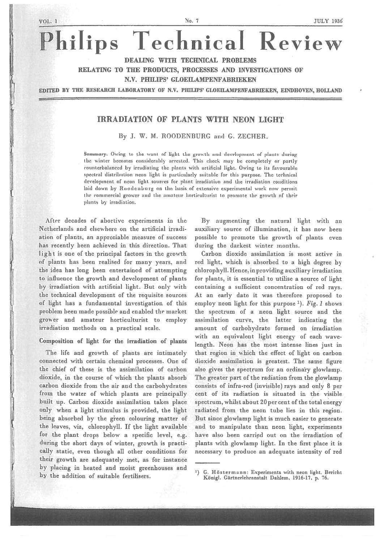# Philips Technical Review

DEALING WITH TECHNICAL PROBLEMS

RELATING TO THE PRODUCTS, PROCESSES AND INVESTIGATIONS OF

#### N.Y. PHILIPS' GLOEILAMPENFABRIEKEN

EDITED BY THE RESEARCH LABORATORY OF N.y. PHILIPS' GLOEILAMPENFAERIEKEN, EINDHOVEN, HOLLAND

## IRRADIATION OF PLANTS WITH NEON LIGHT

By J. W. M. ROODENBURG and G. ZECHER.

Summary. Owing to the want of light the growth and development of plants during the winter becomes considerably arrested. This check may be completely or partly counterbalanced by irradiating the plants with artificial light. Owing to its favourable spectral distribution neon light is particularly suitable for this purpose. The technical development of neon light. sources for <sup>p</sup>lant irradiation and the irradiation conditions laid down by Roodenburg on the basis of extensive experimental work now permit the commercial grower and the amateur horticulturist to promote the growth of their plants by irradiation.

After decades of abortive experiments in the Netherlands and elsewhere on the artificial irradi ation of plants, an appreciable measure of success has recently been achieved in this direction. That light is one of the principal factors in the growth of plants has been realised for many years, and the idea has long been entertained of attempting to influence the growth and development of plants by irradiation with artificial light. But only with the technical development of the requisite sources of light has <sup>a</sup> fundamental investigation of this problem been made possible and enabled the market grower and amateur horticulturist to employ irradiation methods on <sup>a</sup> practical scale.

### Composition of light for the irradiation of plants

The life and growth of plants are intimately connected with certain chemical processes. One of the chief of these is the assimilation of carbon dioxide, in the course of which the plants absorb carbon dioxide from the air and the carbohydrates from the water of which <sup>p</sup>lants are principally built up. Carbon dioxide assimilation takes place only when <sup>a</sup> light stimulus is provided, the light being absorbed by the <sup>g</sup>ieen colouring matter of the leaves, viz, chlorophyll. If the light available for the <sup>p</sup>lant drops below <sup>a</sup> specific level, e.g. during the short days of winter, growth is practi cally static, even though all other conditions for their growth are adequately met, as for instance by <sup>p</sup>lacing in heated and moist greenhouses and by the addition of suitable fertilisers.

By augmenting the natural light with au auxiliary source of illumination, it has now been possible to promote the growth of plants even during the darkest winter months.

Carbon dioxide assimilation is most active in red light, which is absorbed to <sup>a</sup> high degree by chlorophyll. Hence. in providing auxiliary irradiation for plants, it is essential to utilise a source of light containing <sup>a</sup> sufficient concentration of red rays. At an early date it was therefore proposed to employ neon light for this purpose  $^{1}$ ). Fig. 1 shows the spectrum of <sup>a</sup> neon light source and the assimilation curve, the latter indicating the amount of carbohydrate formed on irradiation with an equivalent light energy of each wave length. Neon has the most intense lines just in that region in which the effect of light on carbon dioxide assimilation is greatest. The same figure also gives the spectrum for an ordinary glowlamp. The greater par<sup>t</sup> of the radiation from the glowlamp consists of infra-red (invisible) rays and only 8 per cent of its radiation is situated in the visible spectrum, whilst about 20 per cent of the total energy radiated from the neon tube lies in this region. But since glowlamp light is much easier to generate and to manipulate than neon light, experiments have also been carried out on the irradiation of plants with glowlamp light. In the first place it is necessary to produce an adequate intensity of red

<sup>&</sup>lt;sup>1</sup>) G. Höstermann: Experiments with neon light. Bericht Königl. Gärtnerlehranstalt Dahlem, 1916-17, p. 76.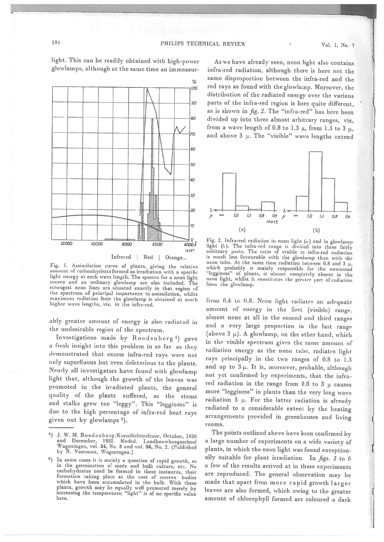

light. This can be readily obtained with high-power glowlamps, although at the same time an immeasur-

Fig. 1. Assimilation curve of <sup>p</sup>lants, <sup>g</sup>iving the relative light energy at each wave length. The spectra for a neon light source and un ordinary <sup>g</sup>lowlamp are also included. The strongest neon lines are situated exactly in that region of<br>the spectrum of principal importance to assimilation, whilst the spectrum of principal importance to assimilation, whilst maximum radiation from the glowlamp is obtained at nuch higher wave lengths, viz, in the infra-red.

ably greater amount of energy is also radiated in the undesirable region of the spectrum.

Investigations made by Roodenberg 2) gave <sup>a</sup> fresh insight into this problem in so far as they demonstrated that excess infra-red rays were not only superfluous but even deleterious to the <sup>p</sup>lants. Nearly all investigators have found with <sup>g</sup>lowlamp light that, although the growth of the leaves was promoted in the irradiated <sup>p</sup>lants, the general quality of the plants suffered, as the stems and stalks grew too "leggy". This "legginess" is due to the high percentage of infra-red heat rays <sup>g</sup>iven out by <sup>g</sup>lowlamps 3).

As we have already seen, neon light also contains infra-red radiation, although there is here not the same disproportion between the infra-red and the red rays as found with the <sup>g</sup>lowlamp. Moreover, the distribution of the radiated energy over the various parts of the infra-red region is here quite different, as is shown in fig. 2. The "infra-red" has here been divided up into three almost arbitrary ranges, viz. from a wave length of 0.8 to 1.3  $\mu$ , from 1.3 to 3  $\mu$ , and above  $3 \mu$ . The "visible" wave lengths extend



Fig. 2. Infra-red radiation in neon light  $(u)$  and in glowlamp light (b). The infra-red range is divided into three fairly arbitrary parts. The ratio of visible to infra-red radiation is much less favourable with the <sup>g</sup>lowlamp than with the neon tube. At the same time radiation between 0.8 and 3  $\mu$ , which probably is mainly responsible for the unwanted "legginess" of plants, is almost completely absent in the neon light, whilst it constitutes the greater pnrt of radiation front the <sup>g</sup>lowlarnp.

from 0.4 to 0.8. Neon light radiates au adequate amount of energy in the first (visible) range. almost none at all in the second and third ranges and <sup>a</sup> very large proportion in the last range (above 3  $\mu$ ). A glowlamp, on the other hand, which in the visible spectrum <sup>g</sup>ives the same amount of radiation energy as the neon tube, radiates light rays principally in the two ranges of 0.8 to 1.3 and up to  $3 \mu$ . It is, moreover, probable, although not yet confirmed by experiments, that the infra red radiation in the range from 0.8 to 3  $\mu$  causes more "legginess" in <sup>p</sup>lants than the very long wave radiation 3  $\mu$ . For the latter radiation is already radiated to a considerable extent by the heating arrangements provided in greenhouses and living rooms.

The points outlined above have been confirmed by <sup>a</sup> large number of experiments on <sup>a</sup> wide variety of <sup>p</sup>lants, in which the neon light was found exception ally suitable for <sup>p</sup>lant irradiation. In figs. <sup>3</sup> to <sup>6</sup> <sup>a</sup> few of the results arrived at in these experiments are reproduced. The general observation may be made that apart from more rapid growth larger leaves are also formed, which owing to the greater amount of chlorophyll formed are coloured <sup>a</sup> dark

<sup>&</sup>lt;sup>2</sup>) J. W. M. Roodenburg: Kunstlichtcultuur, October, 1930 and December, 1932. Meded. Landbouwlioogeschool Wageningeu, vol. 34, No. 8 and vol. 36, No. 2. (Published by R. Veenman, Wageningen.)

<sup>&</sup>lt;sup>3</sup>) In some cases it is mainly a question of rapid growth, as in the germination of seeds and bulb culture, etc. No carbohydrates need be formed in these instances, their<br>formation taking place at the cost of reserve bodies which have been accumulated in the bulb. With these <sup>p</sup>lants, growth may be equally well promoted merely by increasing the temperature; "light" is of no specific value here.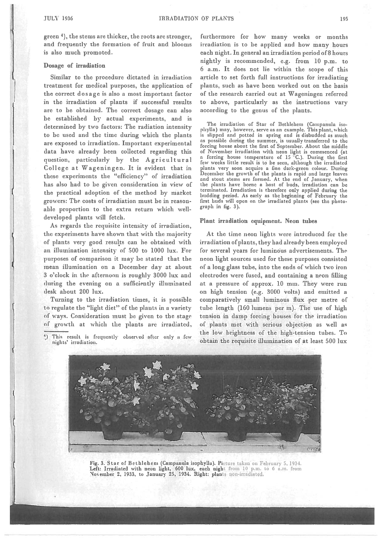green <sup>4</sup>), the stems are thicker, the roots are stronger, and frequently the formation of fruit and blooms is also much promoted.

#### Dosage of irradiation

Similar to the procedure dictated in irradiation treatment for medical purposes, the application of the correct dosage is also <sup>a</sup> most important factor in the irradiation of plants if successful results are to be obtained. The correct dosage can also be established by actual experiments, and is determined by two factors: The radiation intensity to be used and the time during which the plants are exposed to irradiation. Important experimental data have already been collected regarding this question, particularly by the Agricultural College at Wageningen. It is evident that in these experiments the "efficiency" of irradiation has also had to be given consideration in view of the practical adoption of the method by market growers: The costs of irradiation must be in reason able proportion to the extra return which welldeveloped plants will fetch.

As regards the requisite intensity of irradiation, the experiments have shown that with the majority of plants very good results can he obtained with an illumination intensity of 500 to 1000 lux. For purposes of comparison it may be stated that the mean illumination on <sup>a</sup> December day at about 3 <sup>o</sup>'clock in the afternoon is roughly 3000 lux and (luring the evening on <sup>a</sup> sufficiently illuminated desk about 200 lux.

Turning to the irradiation times, it is possible to regulate the "light diet" of the plants in <sup>a</sup> variety of ways. Consideration must be <sup>g</sup>iven to the stage of growth at which the <sup>p</sup>lants are irradiated furthermore for how many weeks or months irradiation is to be applied and how many hours each night. In general an irradiation period of 8 hours nightly is recommended, e.g. from 10 p.m. to 6 a.m. It does not lie within the scope of this article to set forth full instructions for irradiating plants, such as have been worked out on the basis of the research carried out at Wageningen referred to above, particularly as the instructions vary according to the genus of the <sup>p</sup>lants.

The irradiation of Star of Bethlehem (Cnmpanula iso phylla) may, however, serve as an example. This plant, which is slipped and potted in spring and is disbudded as much as possible during the summer, is usually transferred to the forcing house about the first of September. About the middle of November irradiation with neon light is commenced (at <sup>a</sup> forcing house temperature of 15 C.). During the first few weeks little result is to be seen, although the irradiated plants very soon acquire <sup>a</sup> fine dark-green colour. During December the growth of the plants is rapid and large leaves and stout stems are formed. At the end of January, when the <sup>p</sup>lants have borne <sup>a</sup> host of buds, irradiation can be terminated. Irradiation is therefore only applied during the budding period. As early as the beginning of February the first huds will open on the irradiated plants (see the photograp<sup>h</sup> in fig. 3).

#### Plant irradiation equipment. Neon tubes

At the time neon lights were introduced for the irradiation ofplants, they had already been employed for several years for luminous advertisements. The neon light sources used for these purposes consisted of <sup>a</sup> long glass tube, into the ends of which two iron electrodes were fused, and containing <sup>a</sup> neon filling at <sup>a</sup> pressure of approx. 10 mm. They were run on high tension (e.g. 3000 volts) and emitted <sup>a</sup> comparatively small luminous flux per metre of tube length (160 lumens per m). The use of high tension in damp forcing houses for the irradiation of plants met with serious objection as well as the low brightness of the high-tension tubes. To obtain the requisite illumination of at least 500 lux



Fig. 3. Star of Bethlehem (Campanula isophylla). Picture taken on February 5, 1934. Left: Irradiated with neon light, 600 lux, each night from 10 p.m. to 6 a.m. from November 2, 1933, to January 25, 1934. Right: plants non-irradiated.

<sup>1)</sup> This result is frequently observed after only <sup>u</sup> few nights' irradiation.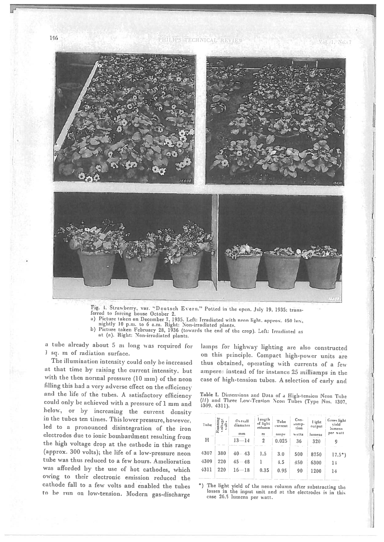Vol. 1, No. 7



Fig. 4. Strawberry, var. "Deutsch Evern." Potted in the open. July 19, 1935: transferred to forcing house October 2.<br>a) Picture taken on December 7, 1935. Left: Irradiated with neon light, approx. 450 lux,

a) Picture taken February 28, 1936 (towards the end of the crop). Left: Irradiated as<br>b) Picture taken February 28, 1936 (towards the end of the crop). Left: Irradiated as

at (a). Right: Non-irradiated <sup>p</sup>lants.

a tube already about 5 m long was required for 1 Sq. <sup>m</sup> of radiation surface.

The illumination intensity could only be increased at that time by raising the current intensity, but with the then normal pressure (10 mm) of the neon filling this had <sup>a</sup> very adverse effect on the efficiency and the life of the tubes. <sup>A</sup> satisfactory efficiency could only be achieved with a pressure of 1 mm and below, or by increasing the current density in the tubes ten times. This lower pressure, however. led to <sup>a</sup> pronounced disintegration of the iron electrodes due to ionic bombardment resulting from the high voltage drop at the cathode in this range (approx. <sup>300</sup> volts); the life of <sup>a</sup> low-pressure neon tube was thus reduced to a few hours. Amelioration was afforded by the use of hot cathodes, which owing to their electronic emission reduced the cathode fall to <sup>a</sup> few volts and enabled the tubes to he run on low-tension. Modern gas-discharge

lamps for highway lighting are also constructed on this <sup>p</sup>iinciple. Compact high-power units are thus obtained, operating with currents of <sup>a</sup> few amperes instead of for instance 25 milliamps in the case of high-tension tubes. <sup>A</sup> selection of early and

Table I. Dimensions and Data of a High-tension Neon Tube (II) and Three Low-Tension Neon Tubes (Type Nos. 4307, 4309. 4311).

| Tube<br><b>TELEST</b> | Running<br>voltage<br>ā | Overall<br>diameter<br>mm           | Length<br>of light<br>enlumn<br>$n_1$ | Tube<br>Current<br>ашря | Con-<br>sump-<br>tion<br>watts | I ight<br>output<br>lumens | Gross light<br>vield<br>lumens<br>per watt |
|-----------------------|-------------------------|-------------------------------------|---------------------------------------|-------------------------|--------------------------------|----------------------------|--------------------------------------------|
| н                     |                         | $13 - 14$                           | $\overline{2}$                        | 0.025                   | 36                             | 320                        | 9                                          |
| 4307<br>4309<br>4311  | 380<br>220<br>220       | $40 - 43$<br>$45 - 48$<br>$16 - 18$ | 1.5<br>0.35                           | 3.0<br>4.5<br>0.95      | 500<br>450<br>90               | 8750<br>6300<br>1200       | $17.5^*$ )<br>14<br>14                     |

) The light <sup>y</sup>ield of the neon column after substracting the losses in thc input unit and at the electrodes is in this case 26.5 lumens per watt.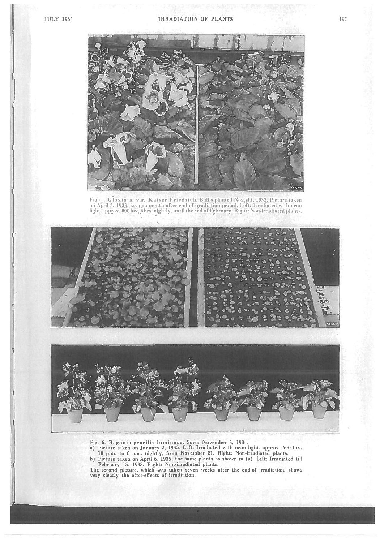

l'ig. 5. Gloxinia, var. Kaiser Friedrich. Bulbs planted Noy. 11, 1932. Picture takeu on April 3, 1933, i.e. one month after end of irradiation period. Eeft: Irradiated with  $\mu$ light, approx. 800 lux, 8 hrs. nightly, until the end of Eebruary. Right: Non-irradiated plants.





Fig. 6. Begonia gracilis luminosa. Sown November 3, 1931.

a) Picture taken on January 2, 1935. Left: Irradiated with neon light, approx. 600 lux. 10 p.nu. to <sup>6</sup> a.m. nightly, from Noctnher 21. Right: Non-irradiated <sup>p</sup>lants.

h) Picture token on April 6, 1935, the same plants as shown in (a). Left: Irradiated till February 15, 1935. Right: Non-irradiated plants.

The second picture, which was taken seven weeks after the end of irradiation, shows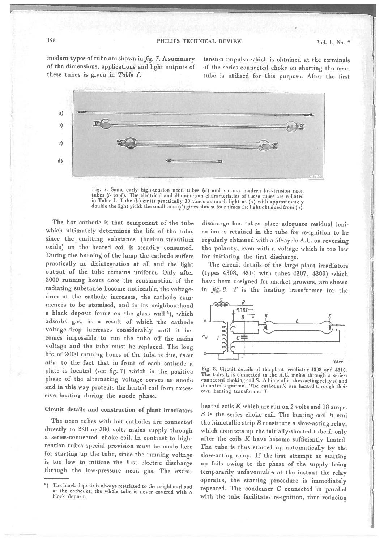modern types of tube are shown in  $fig. 7. A summary$ 

tension impulse which is obtained at the terminals of the dimensions, applications and light outputs of of the series-connected choke on shorting the neon<br>these tubes is given in Table I. tube is utilised for this purpose. After the first tube is utilised for this purpose. After the first

S





The hot cathode is that component of the tube which ultimately determines the life of the tube, since the emitting substance (barium-strontium oxide) on the heated coil is steadily consumed. During the burning of the lamp the cathode suffers practically no disintegration at all and the light output of the tube remains uniform. Only after <sup>2000</sup> running hours does the consumption of the radiating substance become noticeable, the voltage drop at the cathode increases, the cathode commences to be atomised, and in its neighbourhood <sup>a</sup> black deposit forms on the <sup>g</sup>lass wall 5), which adsorbs gas, as <sup>a</sup> result of which the cathode voltage-drop increases considerably until it be comes impossible to run the tube off the mains voltage and the tube must he replaced. The long life of 2000 running hours of the tube is due, inter alia, to the fact that in front of each cathode <sup>a</sup> <sup>p</sup>late is located (see fig. 7) which in the positive <sup>p</sup>hase of the alternating voltage serves as anode and in this way protects the heated coil from exces sive heating during the anode <sup>p</sup>hase.

## Circuit details and construction of <sup>p</sup>lant irradiators

The neon tubes with hot cathodes are connected directly to <sup>220</sup> or <sup>380</sup> volts mains supply through <sup>a</sup> series-connected choke coil. In contrast to hightension tubes special provision must he made here for starting up the tube, since the running voltage is too low to initiate the first electric discharge through the low-pressure neon gas. The extra

discharge has taken <sup>p</sup>lace adequate residual ioni sation is retained in the tube for re-ignition to he regularly obtained with <sup>a</sup> 50-cycle A.C. on reversing the polarity, even with <sup>a</sup> voltage which is too low for initiating the first discharge.

The circuit details of the large <sup>p</sup>lant irradiators (types 4308, <sup>4310</sup> with tubes 4307, 4309) which have been designed for market growers, are shown in  $\emph{fig. 8.}$   $T$  is the heating transformer for the



Fig. 8. Circuit details of the plant irradiator 4308 and 4310. The tube  $L$  is connected to the A.C. mains through a seriesconnected choking coil S. A bimetallic slow-acting relay R and B control signition. The cathodes  $K$  are heated through their own heating transformer T.

heated coils <sup>K</sup> which are run on <sup>2</sup> volts and <sup>18</sup> amps. S is the series choke coil. The heating coil  $R$  and the bimetallic strip  $B$  constitute a slow-acting relay. which connects up the initially-shorted tube  $L$  only after the coils  $K$  have become sufficiently heated. The tube is thus started up automatically by the slow-acting relay. If the first attempt at starting up fails owing to the <sup>p</sup>hase of the supply being temporarily unfavourable at the instant the relay operates, the starting procedure is immediately repeated. The condenser C connected in parallel with the tube facilitates re-ignition, thus reducing

<sup>)</sup> The black deposit is always restricted to the neighbourhood of the cathodes; the whole tube is never covered with <sup>a</sup> black deposit.